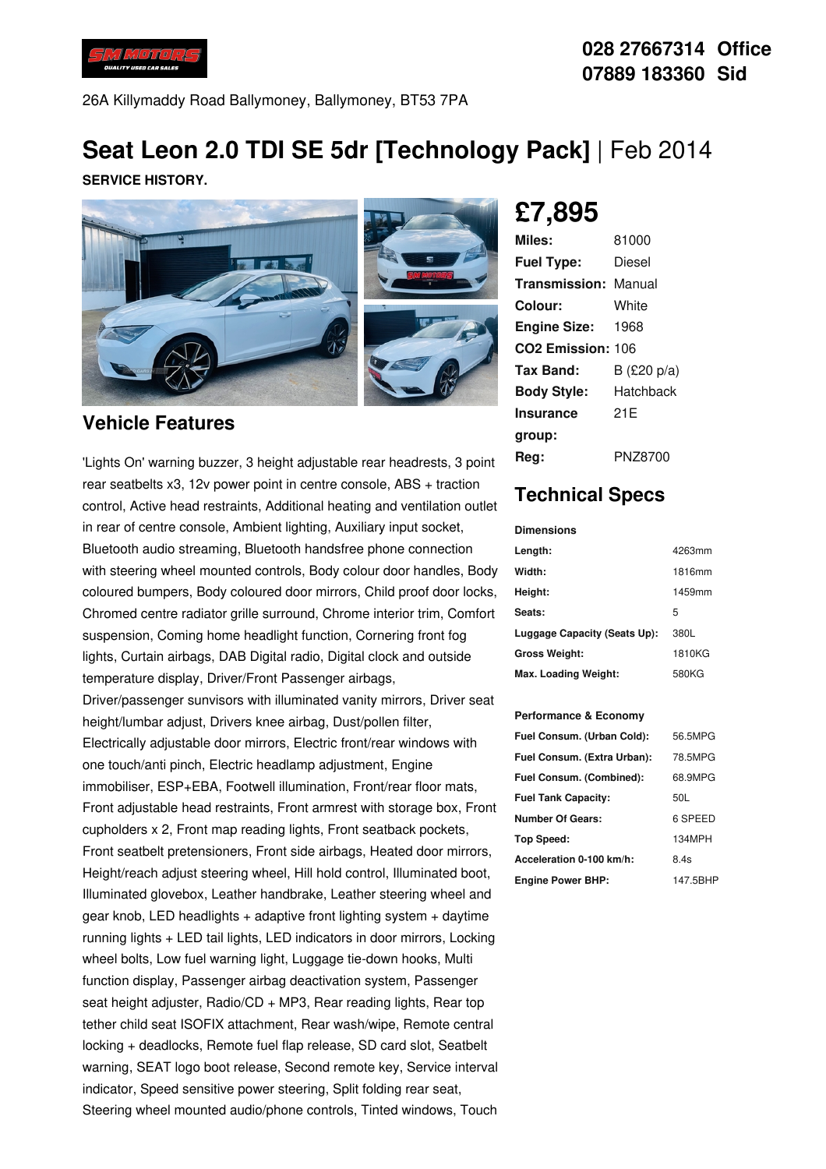

26A Killymaddy Road Ballymoney, Ballymoney, BT53 7PA

# **Seat Leon 2.0 TDI SE 5dr [Technology Pack]** | Feb 2014

**SERVICE HISTORY.**



#### **Vehicle Features**

'Lights On' warning buzzer, 3 height adjustable rear headrests, 3 point rear seatbelts x3, 12v power point in centre console, ABS + traction control, Active head restraints, Additional heating and ventilation outlet in rear of centre console, Ambient lighting, Auxiliary input socket, Bluetooth audio streaming, Bluetooth handsfree phone connection with steering wheel mounted controls, Body colour door handles, Body coloured bumpers, Body coloured door mirrors, Child proof door locks, Chromed centre radiator grille surround, Chrome interior trim, Comfort suspension, Coming home headlight function, Cornering front fog lights, Curtain airbags, DAB Digital radio, Digital clock and outside temperature display, Driver/Front Passenger airbags, Driver/passenger sunvisors with illuminated vanity mirrors, Driver seat height/lumbar adjust, Drivers knee airbag, Dust/pollen filter, Electrically adjustable door mirrors, Electric front/rear windows with one touch/anti pinch, Electric headlamp adjustment, Engine immobiliser, ESP+EBA, Footwell illumination, Front/rear floor mats, Front adjustable head restraints, Front armrest with storage box, Front cupholders x 2, Front map reading lights, Front seatback pockets, Front seatbelt pretensioners, Front side airbags, Heated door mirrors, Height/reach adjust steering wheel, Hill hold control, Illuminated boot, Illuminated glovebox, Leather handbrake, Leather steering wheel and gear knob, LED headlights  $+$  adaptive front lighting system  $+$  daytime running lights + LED tail lights, LED indicators in door mirrors, Locking wheel bolts, Low fuel warning light, Luggage tie-down hooks, Multi function display, Passenger airbag deactivation system, Passenger seat height adjuster, Radio/CD + MP3, Rear reading lights, Rear top tether child seat ISOFIX attachment, Rear wash/wipe, Remote central locking + deadlocks, Remote fuel flap release, SD card slot, Seatbelt warning, SEAT logo boot release, Second remote key, Service interval indicator, Speed sensitive power steering, Split folding rear seat, Steering wheel mounted audio/phone controls, Tinted windows, Touch

**£7,895**

| Miles:                        | 81000       |
|-------------------------------|-------------|
| <b>Fuel Type:</b>             | Diesel      |
| <b>Transmission: Manual</b>   |             |
| Colour:                       | White       |
| <b>Engine Size:</b>           | 1968        |
| CO <sub>2</sub> Emission: 106 |             |
| Tax Band:                     | B (£20 p/a) |
| <b>Body Style:</b>            | Hatchback   |
| Insurance                     | 21F         |
| group:                        |             |
| Rea:                          | PNZ8700     |

### **Technical Specs**

| <b>Dimensions</b>            |        |
|------------------------------|--------|
| Length:                      | 4263mm |
| Width:                       | 1816mm |
| Height:                      | 1459mm |
| Seats:                       | 5      |
| Luggage Capacity (Seats Up): | 380L   |
| <b>Gross Weight:</b>         | 1810KG |
| Max. Loading Weight:         | 580KG  |

#### **Performance & Economy**

| Fuel Consum. (Urban Cold):  | 56.5MPG  |
|-----------------------------|----------|
| Fuel Consum. (Extra Urban): | 78.5MPG  |
| Fuel Consum. (Combined):    | 68.9MPG  |
| <b>Fuel Tank Capacity:</b>  | 50L      |
| <b>Number Of Gears:</b>     | 6 SPEED  |
| Top Speed:                  | 134MPH   |
| Acceleration 0-100 km/h:    | 8.4s     |
| <b>Engine Power BHP:</b>    | 147.5BHP |